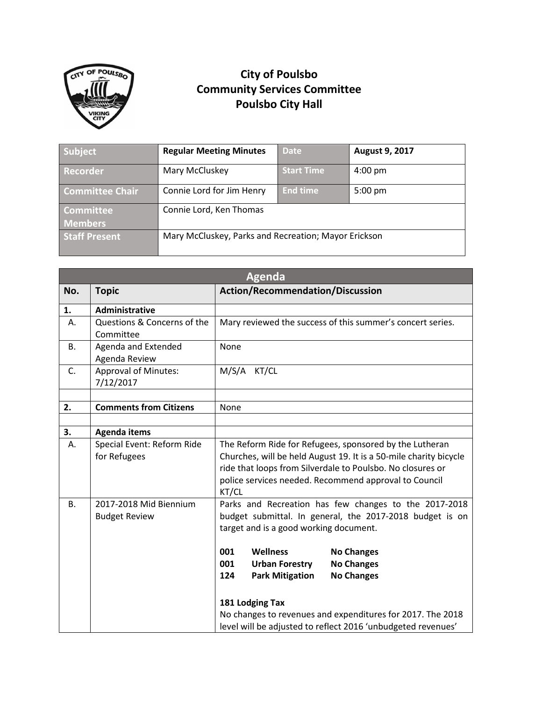

## **City of Poulsbo Community Services Committee Poulsbo City Hall**

| Subject                            | <b>Regular Meeting Minutes</b>                       | <b>Date</b>       | August 9, 2017    |
|------------------------------------|------------------------------------------------------|-------------------|-------------------|
| <b>Recorder</b>                    | Mary McCluskey                                       | <b>Start Time</b> | $4:00 \text{ pm}$ |
| <b>Committee Chair</b>             | Connie Lord for Jim Henry                            | <b>End time</b>   | $5:00 \text{ pm}$ |
| <b>Committee</b><br><b>Members</b> | Connie Lord, Ken Thomas                              |                   |                   |
| <b>Staff Present</b>               | Mary McCluskey, Parks and Recreation; Mayor Erickson |                   |                   |

| <b>Agenda</b> |                                                   |                                                                                                                                                                                                                                                                                                                                                                                                                                                                        |  |  |
|---------------|---------------------------------------------------|------------------------------------------------------------------------------------------------------------------------------------------------------------------------------------------------------------------------------------------------------------------------------------------------------------------------------------------------------------------------------------------------------------------------------------------------------------------------|--|--|
| No.           | <b>Topic</b>                                      | <b>Action/Recommendation/Discussion</b>                                                                                                                                                                                                                                                                                                                                                                                                                                |  |  |
| 1.            | Administrative                                    |                                                                                                                                                                                                                                                                                                                                                                                                                                                                        |  |  |
| А.            | Questions & Concerns of the<br>Committee          | Mary reviewed the success of this summer's concert series.                                                                                                                                                                                                                                                                                                                                                                                                             |  |  |
| <b>B.</b>     | Agenda and Extended<br>Agenda Review              | None                                                                                                                                                                                                                                                                                                                                                                                                                                                                   |  |  |
| C.            | <b>Approval of Minutes:</b><br>7/12/2017          | M/S/A KT/CL                                                                                                                                                                                                                                                                                                                                                                                                                                                            |  |  |
| 2.            | <b>Comments from Citizens</b>                     | None                                                                                                                                                                                                                                                                                                                                                                                                                                                                   |  |  |
| 3.            |                                                   |                                                                                                                                                                                                                                                                                                                                                                                                                                                                        |  |  |
| А.            | <b>Agenda items</b><br>Special Event: Reform Ride |                                                                                                                                                                                                                                                                                                                                                                                                                                                                        |  |  |
|               | for Refugees                                      | The Reform Ride for Refugees, sponsored by the Lutheran<br>Churches, will be held August 19. It is a 50-mile charity bicycle<br>ride that loops from Silverdale to Poulsbo. No closures or<br>police services needed. Recommend approval to Council<br>KT/CL                                                                                                                                                                                                           |  |  |
| <b>B.</b>     | 2017-2018 Mid Biennium<br><b>Budget Review</b>    | Parks and Recreation has few changes to the 2017-2018<br>budget submittal. In general, the 2017-2018 budget is on<br>target and is a good working document.<br>001<br><b>Wellness</b><br><b>No Changes</b><br>001<br><b>Urban Forestry</b><br><b>No Changes</b><br>124<br><b>Park Mitigation</b><br><b>No Changes</b><br>181 Lodging Tax<br>No changes to revenues and expenditures for 2017. The 2018<br>level will be adjusted to reflect 2016 'unbudgeted revenues' |  |  |